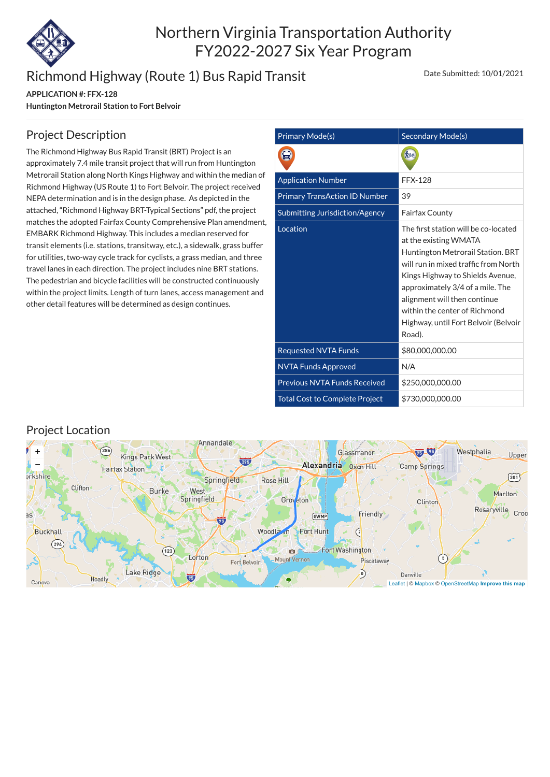

# Northern Virginia Transportation Authority FY2022-2027 Six Year Program

# Richmond Highway (Route 1) Bus Rapid Transit

**APPLICATION #: FFX-128 Huntington Metrorail Station to Fort Belvoir** Date Submitted: 10/01/2021

| <b>Primary Mode(s)</b>                | Secondary Mode(s)                                                                                                                                                                                                                                                                                                                     |  |  |  |  |  |
|---------------------------------------|---------------------------------------------------------------------------------------------------------------------------------------------------------------------------------------------------------------------------------------------------------------------------------------------------------------------------------------|--|--|--|--|--|
|                                       |                                                                                                                                                                                                                                                                                                                                       |  |  |  |  |  |
| <b>Application Number</b>             | <b>FFX-128</b>                                                                                                                                                                                                                                                                                                                        |  |  |  |  |  |
| <b>Primary TransAction ID Number</b>  | 39                                                                                                                                                                                                                                                                                                                                    |  |  |  |  |  |
| Submitting Jurisdiction/Agency        | <b>Fairfax County</b>                                                                                                                                                                                                                                                                                                                 |  |  |  |  |  |
| Location                              | The first station will be co-located<br>at the existing WMATA<br>Huntington Metrorail Station. BRT<br>will run in mixed traffic from North<br>Kings Highway to Shields Avenue,<br>approximately 3/4 of a mile. The<br>alignment will then continue<br>within the center of Richmond<br>Highway, until Fort Belvoir (Belvoir<br>Road). |  |  |  |  |  |
| <b>Requested NVTA Funds</b>           | \$80,000,000.00                                                                                                                                                                                                                                                                                                                       |  |  |  |  |  |
| <b>NVTA Funds Approved</b>            | N/A                                                                                                                                                                                                                                                                                                                                   |  |  |  |  |  |
| <b>Previous NVTA Funds Received</b>   | \$250,000,000.00                                                                                                                                                                                                                                                                                                                      |  |  |  |  |  |
| <b>Total Cost to Complete Project</b> | \$730,000,000.00                                                                                                                                                                                                                                                                                                                      |  |  |  |  |  |

### Project Description

The Richmond Highway Bus Rapid Transit (BRT) Project is an approximately 7.4 mile transit project that will run from Huntington Metrorail Station along North Kings Highway and within the median of Richmond Highway (US Route 1) to Fort Belvoir. The project received NEPA determination and is in the design phase. As depicted in the attached, "Richmond Highway BRT-Typical Sections" pdf, the project matches the adopted Fairfax County Comprehensive Plan amendment, EMBARK Richmond Highway. This includes a median reserved for transit elements (i.e. stations, transitway, etc.), a sidewalk, grass buffer for utilities, two-way cycle track for cyclists, a grass median, and three travel lanes in each direction. The project includes nine BRT stations. The pedestrian and bicycle facilities will be constructed continuously within the project limits. Length of turn lanes, access management and other detail features will be determined as design continues.

#### Project Location